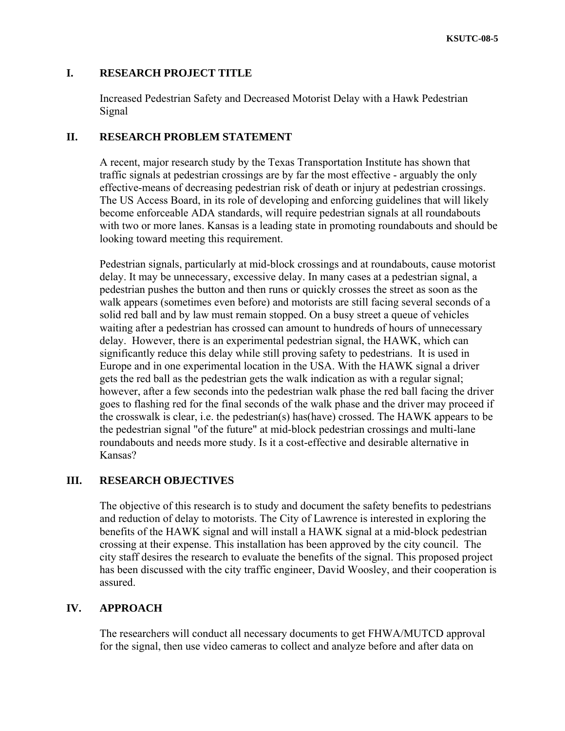## **I. RESEARCH PROJECT TITLE**

Increased Pedestrian Safety and Decreased Motorist Delay with a Hawk Pedestrian Signal

## **II. RESEARCH PROBLEM STATEMENT**

A recent, major research study by the Texas Transportation Institute has shown that traffic signals at pedestrian crossings are by far the most effective - arguably the only effective-means of decreasing pedestrian risk of death or injury at pedestrian crossings. The US Access Board, in its role of developing and enforcing guidelines that will likely become enforceable ADA standards, will require pedestrian signals at all roundabouts with two or more lanes. Kansas is a leading state in promoting roundabouts and should be looking toward meeting this requirement.

Pedestrian signals, particularly at mid-block crossings and at roundabouts, cause motorist delay. It may be unnecessary, excessive delay. In many cases at a pedestrian signal, a pedestrian pushes the button and then runs or quickly crosses the street as soon as the walk appears (sometimes even before) and motorists are still facing several seconds of a solid red ball and by law must remain stopped. On a busy street a queue of vehicles waiting after a pedestrian has crossed can amount to hundreds of hours of unnecessary delay. However, there is an experimental pedestrian signal, the HAWK, which can significantly reduce this delay while still proving safety to pedestrians. It is used in Europe and in one experimental location in the USA. With the HAWK signal a driver gets the red ball as the pedestrian gets the walk indication as with a regular signal; however, after a few seconds into the pedestrian walk phase the red ball facing the driver goes to flashing red for the final seconds of the walk phase and the driver may proceed if the crosswalk is clear, i.e. the pedestrian(s) has(have) crossed. The HAWK appears to be the pedestrian signal "of the future" at mid-block pedestrian crossings and multi-lane roundabouts and needs more study. Is it a cost-effective and desirable alternative in Kansas?

# **III. RESEARCH OBJECTIVES**

The objective of this research is to study and document the safety benefits to pedestrians and reduction of delay to motorists. The City of Lawrence is interested in exploring the benefits of the HAWK signal and will install a HAWK signal at a mid-block pedestrian crossing at their expense. This installation has been approved by the city council. The city staff desires the research to evaluate the benefits of the signal. This proposed project has been discussed with the city traffic engineer, David Woosley, and their cooperation is assured.

#### **IV. APPROACH**

The researchers will conduct all necessary documents to get FHWA/MUTCD approval for the signal, then use video cameras to collect and analyze before and after data on